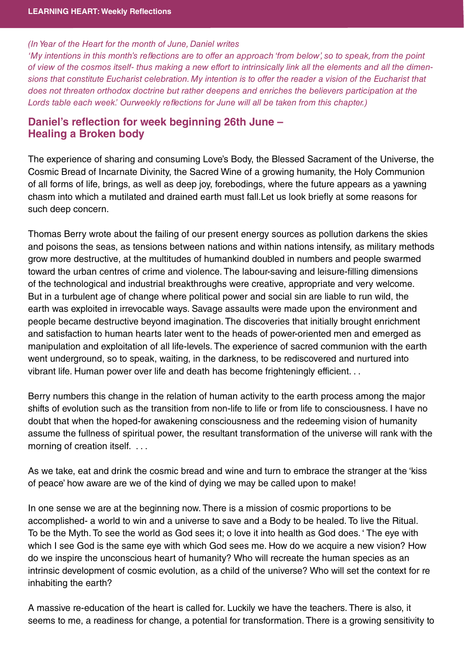## (In Year of the Heart for the month of June, Daniel writes

'My intentions in this month's reflections are to offer an approach 'from below', so to speak, from the point of view of the cosmos itself- thus making a new effort to intrinsically link all the elements and all the dimensions that constitute Eucharist celebration. My intention is to offer the reader a vision of the Eucharist that does not threaten orthodox doctrine but rather deepens and enriches the believers participation at the Lords table each week.' Ourweekly reflections for June will all be taken from this chapter.)

## **Daniel's reflection for week beginning 26th June – Healing a Broken body**

The experience of sharing and consuming Love's Body, the Blessed Sacrament of the Universe, the Cosmic Bread of Incarnate Divinity, the Sacred Wine of a growing humanity, the Holy Communion of all forms of life, brings, as well as deep joy, forebodings, where the future appears as a yawning chasm into which a mutilated and drained earth must fall. Let us look briefly at some reasons for such deep concern.

Thomas Berry wrote about the failing of our present energy sources as pollution darkens the skies and poisons the seas, as tensions between nations and within nations intensify, as military methods grow more destructive, at the multitudes of humankind doubled in numbers and people swarmed toward the urban centres of crime and violence. The labour-saving and leisure-filling dimensions of the technological and industrial breakthroughs were creative, appropriate and very welcome. But in a turbulent age of change where political power and social sin are liable to run wild, the earth was exploited in irrevocable ways. Savage assaults were made upon the environment and people became destructive beyond imagination. The discoveries that initially brought enrichment and satisfaction to human hearts later went to the heads of power-oriented men and emerged as manipulation and exploitation of all life-levels. The experience of sacred communion with the earth went underground, so to speak, waiting, in the darkness, to be rediscovered and nurtured into vibrant life. Human power over life and death has become frighteningly efficient. . .

Berry numbers this change in the relation of human activity to the earth process among the major shifts of evolution such as the transition from non-life to life or from life to consciousness. I have no doubt that when the hoped-for awakening consciousness and the redeeming vision of humanity assume the fullness of spiritual power, the resultant transformation of the universe will rank with the morning of creation itself. . . .

As we take, eat and drink the cosmic bread and wine and turn to embrace the stranger at the 'kiss of peace' how aware are we of the kind of dying we may be called upon to make!

In one sense we are at the beginning now. There is a mission of cosmic proportions to be accomplished- a world to win and a universe to save and a Body to be healed. To live the Ritual. To be the Myth. To see the world as God sees it; o love it into health as God does. ' The eye with which I see God is the same eye with which God sees me. How do we acquire a new vision? How do we inspire the unconscious heart of humanity? Who will recreate the human species as an intrinsic development of cosmic evolution, as a child of the universe? Who will set the context for re inhabiting the earth?

A massive re-education of the heart is called for. Luckily we have the teachers. There is also, it seems to me, a readiness for change, a potential for transformation. There is a growing sensitivity to